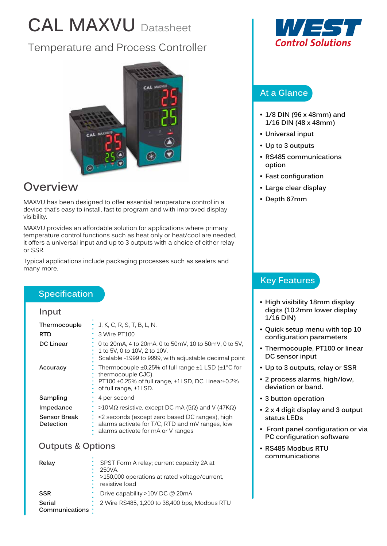# **CAL MAXVU** Datasheet

# Temperature and Process Controller



# **Overview**

MAXVU has been designed to offer essential temperature control in a device that's easy to install, fast to program and with improved display visibility.

MAXVU provides an affordable solution for applications where primary temperature control functions such as heat only or heat/cool are needed, it offers a universal input and up to 3 outputs with a choice of either relay or SSR.

Typical applications include packaging processes such as sealers and many more.

# **Specification**

#### **Input**

| Thermocouple                     | J, K, C, R, S, T, B, L, N.                                                                                                                             |
|----------------------------------|--------------------------------------------------------------------------------------------------------------------------------------------------------|
| <b>RTD</b>                       | 3 Wire PT100                                                                                                                                           |
| <b>DC Linear</b>                 | 0 to 20 mA, 4 to 20 mA, 0 to 50 mV, 10 to 50 mV, 0 to 5 V,<br>1 to 5V, 0 to 10V, 2 to 10V.<br>Scalable -1999 to 9999, with adjustable decimal point    |
| Accuracy                         | Thermocouple ±0.25% of full range ±1 LSD (±1°C for<br>thermocouple CJC).<br>PT100 ±0.25% of full range, ±1LSD, DC Linear±0.2%<br>of full range, ±1LSD. |
| Sampling                         | 4 per second                                                                                                                                           |
| Impedance                        | >10MΩ resistive, except DC mA (5Ω) and V (47KΩ)                                                                                                        |
| <b>Sensor Break</b><br>Detection | <2 seconds (except zero based DC ranges), high<br>alarms activate for T/C, RTD and mV ranges, low<br>alarms activate for mA or V ranges                |

#### **Outputs & Options**

| Relay                     | SPST Form A relay; current capacity 2A at<br>250VA.<br>>150,000 operations at rated voltage/current,<br>resistive load |
|---------------------------|------------------------------------------------------------------------------------------------------------------------|
| <b>SSR</b>                | Drive capability >10V DC @ 20mA                                                                                        |
| Serial<br>Communications: | 2 Wire RS485, 1,200 to 38,400 bps, Modbus RTU                                                                          |



# **At a Glance**

- **• 1/8 DIN (96 x 48mm) and 1/16 DIN (48 x 48mm)**
- **• Universal input**
- **• Up to 3 outputs**
- **• RS485 communications option**
- **• Fast configuration**
- **• Large clear display**
- **• Depth 67mm**

# **Key Features**

- **• High visibility 18mm display digits (10.2mm lower display 1/16 DIN)**
- **• Quick setup menu with top 10 configuration parameters**
- **• Thermocouple, PT100 or linear DC sensor input**
- **• Up to 3 outputs, relay or SSR**
- **• 2 process alarms, high/low, deviation or band.**
- **• 3 button operation**
- **• 2 x 4 digit display and 3 output status LEDs**
- **Front panel configuration or via PC configuration software**
- **• RS485 Modbus RTU communications**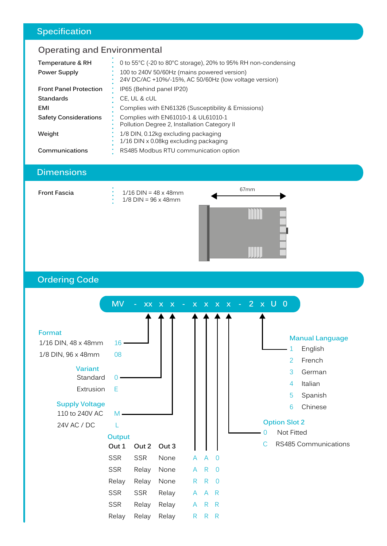# **Specification**

# **Operating and Environmental**

| Temperature & RH              | 0 to 55°C (-20 to 80°C storage), 20% to 95% RH non-condensing                                        |
|-------------------------------|------------------------------------------------------------------------------------------------------|
| Power Supply                  | 100 to 240V 50/60Hz (mains powered version)<br>24V DC/AC +10%/-15%, AC 50/60Hz (low voltage version) |
| <b>Front Panel Protection</b> | IP65 (Behind panel IP20)                                                                             |
| <b>Standards</b>              | CE, UL & cUL                                                                                         |
| EMI                           | Complies with EN61326 (Susceptibility & Emissions)                                                   |
| <b>Safety Considerations</b>  | Complies with EN61010-1 & UL61010-1<br>Pollution Degree 2, Installation Category II                  |
| Weight                        | 1/8 DIN, 0.12kg excluding packaging<br>1/16 DIN x 0.08kg excluding packaging                         |
| Communications                | RS485 Modbus RTU communication option                                                                |

# **Dimensions**

| <b>Front Fascia</b> | $1/16$ DIN = 48 x 48mm<br>$1/8$ DIN = 96 x 48mm | 67mm |
|---------------------|-------------------------------------------------|------|
|                     |                                                 |      |
|                     |                                                 |      |
|                     |                                                 |      |

# **Ordering Code**

|                                         | <b>MV</b>          |            | XX X X - X X X X - 2 X U 0 |              |                |                |  |   |                                    |                        |
|-----------------------------------------|--------------------|------------|----------------------------|--------------|----------------|----------------|--|---|------------------------------------|------------------------|
| Format<br>1/16 DIN, 48 x 48mm           | 16                 |            |                            |              |                |                |  |   |                                    | <b>Manual Language</b> |
| 1/8 DIN, 96 x 48mm                      | 08                 |            |                            |              |                |                |  |   | 1                                  | English                |
| <b>Variant</b><br>Standard              | Ω                  |            |                            |              |                |                |  |   | 2<br>3                             | French<br>German       |
| Extrusion                               | Е                  |            |                            |              |                |                |  |   | $\overline{4}$<br>5                | Italian<br>Spanish     |
| <b>Supply Voltage</b><br>110 to 240V AC | M                  |            |                            |              |                |                |  |   | 6                                  | Chinese                |
| 24V AC / DC                             | T<br><b>Output</b> |            |                            |              |                |                |  | 0 | <b>Option Slot 2</b><br>Not Fitted |                        |
|                                         | Out 1              | Out 2      | Out 3                      |              |                |                |  | С |                                    | RS485 Communications   |
|                                         | <b>SSR</b>         | <b>SSR</b> | None                       | A            | $\overline{A}$ | $\overline{0}$ |  |   |                                    |                        |
|                                         | <b>SSR</b>         | Relay      | None                       | A            | R              | $\overline{0}$ |  |   |                                    |                        |
|                                         | Relay              | Relay      | None                       | $\mathsf{R}$ | $\mathsf{R}$   | $\overline{0}$ |  |   |                                    |                        |
|                                         | <b>SSR</b>         | <b>SSR</b> | Relay                      | A            | A R            |                |  |   |                                    |                        |
|                                         | <b>SSR</b>         | Relay      | Relay                      | A            | R              | R              |  |   |                                    |                        |
|                                         | Relay              | Relay      | Relay                      | $\mathsf{R}$ | R              | R              |  |   |                                    |                        |